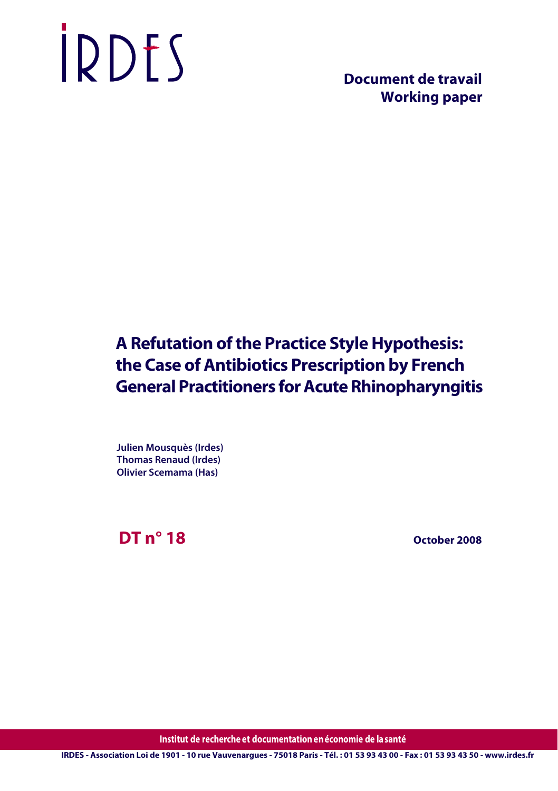# IRDES

 **Document de travail Working paper**

## **A Refutation of the Practice Style Hypothesis: the Case of Antibiotics Prescription by French General Practitioners for Acute Rhinopharyngitis**

**Julien Mousquès (Irdes) Thomas Renaud (Irdes) Olivier Scemama (Has)**

**DT n° 18**

 **October 2008**

**Institut de recherche et documentation enéconomie de lasanté**

**IRDES - Association Loi de 1901 - 10 rue Vauvenargues - 75018 Paris - Tél. : 01 53 93 43 00 - Fax : 01 53 93 43 50 - www.irdes.fr**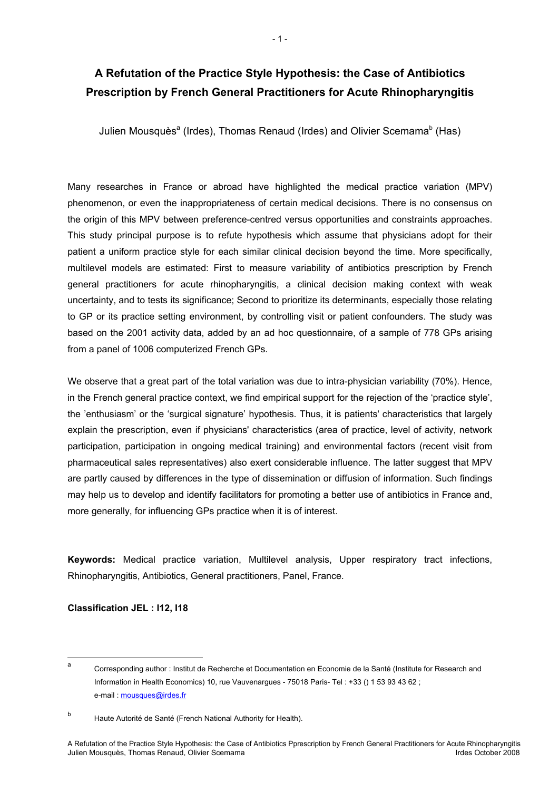### **A Refutation of the Practice Style Hypothesis: the Case of Antibiotics Prescription by French General Practitioners for Acute Rhinopharyngitis**

Julien Mousquès<sup>a</sup> (Irdes), Thomas Renaud (Irdes) and Olivier Scemama<sup>b</sup> (Has)

Many researches in France or abroad have highlighted the medical practice variation (MPV) phenomenon, or even the inappropriateness of certain medical decisions. There is no consensus on the origin of this MPV between preference-centred versus opportunities and constraints approaches. This study principal purpose is to refute hypothesis which assume that physicians adopt for their patient a uniform practice style for each similar clinical decision beyond the time. More specifically, multilevel models are estimated: First to measure variability of antibiotics prescription by French general practitioners for acute rhinopharyngitis, a clinical decision making context with weak uncertainty, and to tests its significance; Second to prioritize its determinants, especially those relating to GP or its practice setting environment, by controlling visit or patient confounders. The study was based on the 2001 activity data, added by an ad hoc questionnaire, of a sample of 778 GPs arising from a panel of 1006 computerized French GPs.

We observe that a great part of the total variation was due to intra-physician variability (70%). Hence, in the French general practice context, we find empirical support for the rejection of the 'practice style', the 'enthusiasm' or the 'surgical signature' hypothesis. Thus, it is patients' characteristics that largely explain the prescription, even if physicians' characteristics (area of practice, level of activity, network participation, participation in ongoing medical training) and environmental factors (recent visit from pharmaceutical sales representatives) also exert considerable influence. The latter suggest that MPV are partly caused by differences in the type of dissemination or diffusion of information. Such findings may help us to develop and identify facilitators for promoting a better use of antibiotics in France and, more generally, for influencing GPs practice when it is of interest.

**Keywords:** Medical practice variation, Multilevel analysis, Upper respiratory tract infections, Rhinopharyngitis, Antibiotics, General practitioners, Panel, France.

**Classification JEL : I12, I18**

<sup>–&</sup>lt;br>a Corresponding author : Institut de Recherche et Documentation en Economie de la Santé (Institute for Research and Information in Health Economics) 10, rue Vauvenargues - 75018 Paris- Tel : +33 () 1 53 93 43 62 ; e-mail : mousques@irdes.fr

b Haute Autorité de Santé (French National Authority for Health).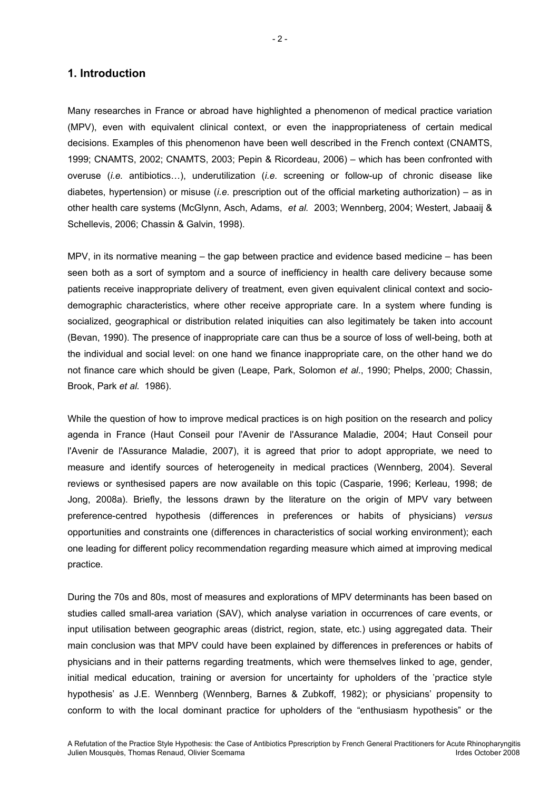#### **1. Introduction**

Many researches in France or abroad have highlighted a phenomenon of medical practice variation (MPV), even with equivalent clinical context, or even the inappropriateness of certain medical decisions. Examples of this phenomenon have been well described in the French context (CNAMTS, 1999; CNAMTS, 2002; CNAMTS, 2003; Pepin & Ricordeau, 2006) – which has been confronted with overuse (*i.e.* antibiotics…), underutilization (*i.e.* screening or follow-up of chronic disease like diabetes, hypertension) or misuse (*i.e.* prescription out of the official marketing authorization) – as in other health care systems (McGlynn, Asch, Adams, *et al.* 2003; Wennberg, 2004; Westert, Jabaaij & Schellevis, 2006; Chassin & Galvin, 1998).

MPV, in its normative meaning – the gap between practice and evidence based medicine – has been seen both as a sort of symptom and a source of inefficiency in health care delivery because some patients receive inappropriate delivery of treatment, even given equivalent clinical context and sociodemographic characteristics, where other receive appropriate care. In a system where funding is socialized, geographical or distribution related iniquities can also legitimately be taken into account (Bevan, 1990). The presence of inappropriate care can thus be a source of loss of well-being, both at the individual and social level: on one hand we finance inappropriate care, on the other hand we do not finance care which should be given (Leape, Park, Solomon *et al*., 1990; Phelps, 2000; Chassin, Brook, Park *et al.* 1986).

While the question of how to improve medical practices is on high position on the research and policy agenda in France (Haut Conseil pour l'Avenir de l'Assurance Maladie, 2004; Haut Conseil pour l'Avenir de l'Assurance Maladie, 2007), it is agreed that prior to adopt appropriate, we need to measure and identify sources of heterogeneity in medical practices (Wennberg, 2004). Several reviews or synthesised papers are now available on this topic (Casparie, 1996; Kerleau, 1998; de Jong, 2008a). Briefly, the lessons drawn by the literature on the origin of MPV vary between preference-centred hypothesis (differences in preferences or habits of physicians) *versus* opportunities and constraints one (differences in characteristics of social working environment); each one leading for different policy recommendation regarding measure which aimed at improving medical practice.

During the 70s and 80s, most of measures and explorations of MPV determinants has been based on studies called small-area variation (SAV), which analyse variation in occurrences of care events, or input utilisation between geographic areas (district, region, state, etc.) using aggregated data. Their main conclusion was that MPV could have been explained by differences in preferences or habits of physicians and in their patterns regarding treatments, which were themselves linked to age, gender, initial medical education, training or aversion for uncertainty for upholders of the 'practice style hypothesis' as J.E. Wennberg (Wennberg, Barnes & Zubkoff, 1982); or physicians' propensity to conform to with the local dominant practice for upholders of the "enthusiasm hypothesis" or the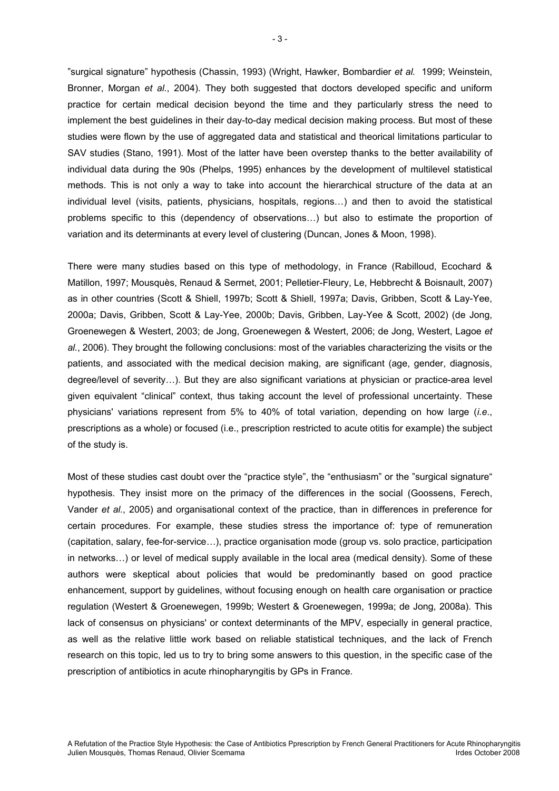"surgical signature" hypothesis (Chassin, 1993) (Wright, Hawker, Bombardier *et al.* 1999; Weinstein, Bronner, Morgan *et al.*, 2004). They both suggested that doctors developed specific and uniform practice for certain medical decision beyond the time and they particularly stress the need to implement the best guidelines in their day-to-day medical decision making process. But most of these studies were flown by the use of aggregated data and statistical and theorical limitations particular to SAV studies (Stano, 1991). Most of the latter have been overstep thanks to the better availability of individual data during the 90s (Phelps, 1995) enhances by the development of multilevel statistical methods. This is not only a way to take into account the hierarchical structure of the data at an individual level (visits, patients, physicians, hospitals, regions…) and then to avoid the statistical problems specific to this (dependency of observations…) but also to estimate the proportion of variation and its determinants at every level of clustering (Duncan, Jones & Moon, 1998).

There were many studies based on this type of methodology, in France (Rabilloud, Ecochard & Matillon, 1997; Mousquès, Renaud & Sermet, 2001; Pelletier-Fleury, Le, Hebbrecht & Boisnault, 2007) as in other countries (Scott & Shiell, 1997b; Scott & Shiell, 1997a; Davis, Gribben, Scott & Lay-Yee, 2000a; Davis, Gribben, Scott & Lay-Yee, 2000b; Davis, Gribben, Lay-Yee & Scott, 2002) (de Jong, Groenewegen & Westert, 2003; de Jong, Groenewegen & Westert, 2006; de Jong, Westert, Lagoe *et al.*, 2006). They brought the following conclusions: most of the variables characterizing the visits or the patients, and associated with the medical decision making, are significant (age, gender, diagnosis, degree/level of severity…). But they are also significant variations at physician or practice-area level given equivalent "clinical" context, thus taking account the level of professional uncertainty. These physicians' variations represent from 5% to 40% of total variation, depending on how large (*i.e*., prescriptions as a whole) or focused (i.e., prescription restricted to acute otitis for example) the subject of the study is.

Most of these studies cast doubt over the "practice style", the "enthusiasm" or the "surgical signature" hypothesis. They insist more on the primacy of the differences in the social (Goossens, Ferech, Vander *et al.*, 2005) and organisational context of the practice, than in differences in preference for certain procedures. For example, these studies stress the importance of: type of remuneration (capitation, salary, fee-for-service…), practice organisation mode (group vs. solo practice, participation in networks…) or level of medical supply available in the local area (medical density). Some of these authors were skeptical about policies that would be predominantly based on good practice enhancement, support by guidelines, without focusing enough on health care organisation or practice regulation (Westert & Groenewegen, 1999b; Westert & Groenewegen, 1999a; de Jong, 2008a). This lack of consensus on physicians' or context determinants of the MPV, especially in general practice, as well as the relative little work based on reliable statistical techniques, and the lack of French research on this topic, led us to try to bring some answers to this question, in the specific case of the prescription of antibiotics in acute rhinopharyngitis by GPs in France.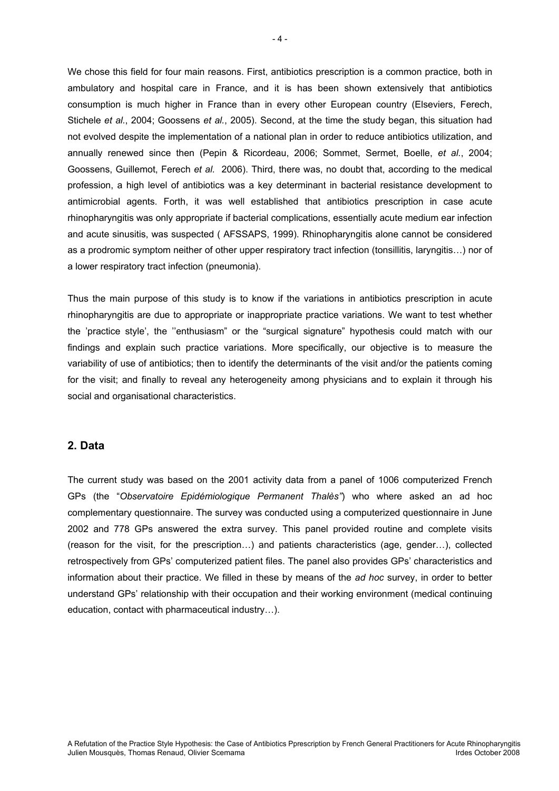We chose this field for four main reasons. First, antibiotics prescription is a common practice, both in ambulatory and hospital care in France, and it is has been shown extensively that antibiotics consumption is much higher in France than in every other European country (Elseviers, Ferech, Stichele *et al.*, 2004; Goossens *et al.*, 2005). Second, at the time the study began, this situation had not evolved despite the implementation of a national plan in order to reduce antibiotics utilization, and annually renewed since then (Pepin & Ricordeau, 2006; Sommet, Sermet, Boelle, *et al.*, 2004; Goossens, Guillemot, Ferech *et al.* 2006). Third, there was, no doubt that, according to the medical profession, a high level of antibiotics was a key determinant in bacterial resistance development to antimicrobial agents. Forth, it was well established that antibiotics prescription in case acute rhinopharyngitis was only appropriate if bacterial complications, essentially acute medium ear infection and acute sinusitis, was suspected ( AFSSAPS, 1999). Rhinopharyngitis alone cannot be considered as a prodromic symptom neither of other upper respiratory tract infection (tonsillitis, laryngitis…) nor of a lower respiratory tract infection (pneumonia).

Thus the main purpose of this study is to know if the variations in antibiotics prescription in acute rhinopharyngitis are due to appropriate or inappropriate practice variations. We want to test whether the 'practice style', the ''enthusiasm" or the "surgical signature" hypothesis could match with our findings and explain such practice variations. More specifically, our objective is to measure the variability of use of antibiotics; then to identify the determinants of the visit and/or the patients coming for the visit; and finally to reveal any heterogeneity among physicians and to explain it through his social and organisational characteristics.

#### **2. Data**

The current study was based on the 2001 activity data from a panel of 1006 computerized French GPs (the "*Observatoire Epidémiologique Permanent Thalès"*) who where asked an ad hoc complementary questionnaire. The survey was conducted using a computerized questionnaire in June 2002 and 778 GPs answered the extra survey. This panel provided routine and complete visits (reason for the visit, for the prescription…) and patients characteristics (age, gender…), collected retrospectively from GPs' computerized patient files. The panel also provides GPs' characteristics and information about their practice. We filled in these by means of the *ad hoc* survey, in order to better understand GPs' relationship with their occupation and their working environment (medical continuing education, contact with pharmaceutical industry…).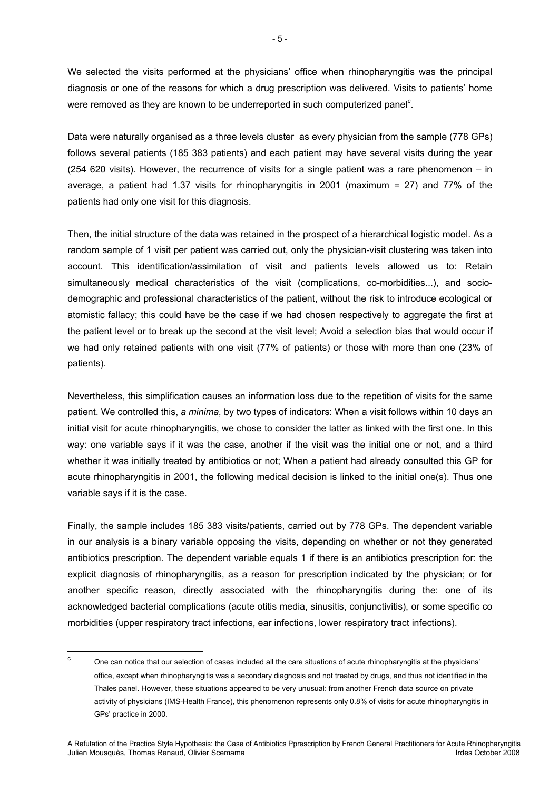We selected the visits performed at the physicians' office when rhinopharyngitis was the principal diagnosis or one of the reasons for which a drug prescription was delivered. Visits to patients' home were removed as they are known to be underreported in such computerized panel<sup>c</sup>.

Data were naturally organised as a three levels cluster as every physician from the sample (778 GPs) follows several patients (185 383 patients) and each patient may have several visits during the year (254 620 visits). However, the recurrence of visits for a single patient was a rare phenomenon – in average, a patient had 1.37 visits for rhinopharyngitis in 2001 (maximum = 27) and 77% of the patients had only one visit for this diagnosis.

Then, the initial structure of the data was retained in the prospect of a hierarchical logistic model. As a random sample of 1 visit per patient was carried out, only the physician-visit clustering was taken into account. This identification/assimilation of visit and patients levels allowed us to: Retain simultaneously medical characteristics of the visit (complications, co-morbidities...), and sociodemographic and professional characteristics of the patient, without the risk to introduce ecological or atomistic fallacy; this could have be the case if we had chosen respectively to aggregate the first at the patient level or to break up the second at the visit level; Avoid a selection bias that would occur if we had only retained patients with one visit (77% of patients) or those with more than one (23% of patients).

Nevertheless, this simplification causes an information loss due to the repetition of visits for the same patient. We controlled this, *a minima,* by two types of indicators: When a visit follows within 10 days an initial visit for acute rhinopharyngitis, we chose to consider the latter as linked with the first one. In this way: one variable says if it was the case, another if the visit was the initial one or not, and a third whether it was initially treated by antibiotics or not; When a patient had already consulted this GP for acute rhinopharyngitis in 2001, the following medical decision is linked to the initial one(s). Thus one variable says if it is the case.

Finally, the sample includes 185 383 visits/patients, carried out by 778 GPs. The dependent variable in our analysis is a binary variable opposing the visits, depending on whether or not they generated antibiotics prescription. The dependent variable equals 1 if there is an antibiotics prescription for: the explicit diagnosis of rhinopharyngitis, as a reason for prescription indicated by the physician; or for another specific reason, directly associated with the rhinopharyngitis during the: one of its acknowledged bacterial complications (acute otitis media, sinusitis, conjunctivitis), or some specific co morbidities (upper respiratory tract infections, ear infections, lower respiratory tract infections).

<sup>-&</sup>lt;br>c One can notice that our selection of cases included all the care situations of acute rhinopharyngitis at the physicians' office, except when rhinopharyngitis was a secondary diagnosis and not treated by drugs, and thus not identified in the Thales panel. However, these situations appeared to be very unusual: from another French data source on private activity of physicians (IMS-Health France), this phenomenon represents only 0.8% of visits for acute rhinopharyngitis in GPs' practice in 2000.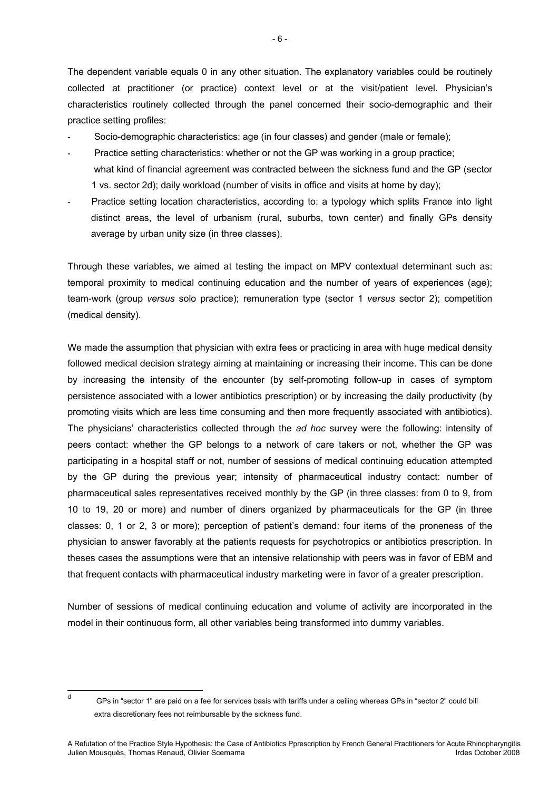The dependent variable equals 0 in any other situation. The explanatory variables could be routinely collected at practitioner (or practice) context level or at the visit/patient level. Physician's characteristics routinely collected through the panel concerned their socio-demographic and their practice setting profiles:

- Socio-demographic characteristics: age (in four classes) and gender (male or female);
- Practice setting characteristics: whether or not the GP was working in a group practice; what kind of financial agreement was contracted between the sickness fund and the GP (sector 1 vs. sector 2d); daily workload (number of visits in office and visits at home by day);
- Practice setting location characteristics, according to: a typology which splits France into light distinct areas, the level of urbanism (rural, suburbs, town center) and finally GPs density average by urban unity size (in three classes).

Through these variables, we aimed at testing the impact on MPV contextual determinant such as: temporal proximity to medical continuing education and the number of years of experiences (age); team-work (group *versus* solo practice); remuneration type (sector 1 *versus* sector 2); competition (medical density).

We made the assumption that physician with extra fees or practicing in area with huge medical density followed medical decision strategy aiming at maintaining or increasing their income. This can be done by increasing the intensity of the encounter (by self-promoting follow-up in cases of symptom persistence associated with a lower antibiotics prescription) or by increasing the daily productivity (by promoting visits which are less time consuming and then more frequently associated with antibiotics). The physicians' characteristics collected through the *ad hoc* survey were the following: intensity of peers contact: whether the GP belongs to a network of care takers or not, whether the GP was participating in a hospital staff or not, number of sessions of medical continuing education attempted by the GP during the previous year; intensity of pharmaceutical industry contact: number of pharmaceutical sales representatives received monthly by the GP (in three classes: from 0 to 9, from 10 to 19, 20 or more) and number of diners organized by pharmaceuticals for the GP (in three classes: 0, 1 or 2, 3 or more); perception of patient's demand: four items of the proneness of the physician to answer favorably at the patients requests for psychotropics or antibiotics prescription. In theses cases the assumptions were that an intensive relationship with peers was in favor of EBM and that frequent contacts with pharmaceutical industry marketing were in favor of a greater prescription.

Number of sessions of medical continuing education and volume of activity are incorporated in the model in their continuous form, all other variables being transformed into dummy variables.

- 6 -

<sup>–&</sup>lt;br>d

GPs in "sector 1" are paid on a fee for services basis with tariffs under a ceiling whereas GPs in "sector 2" could bill extra discretionary fees not reimbursable by the sickness fund.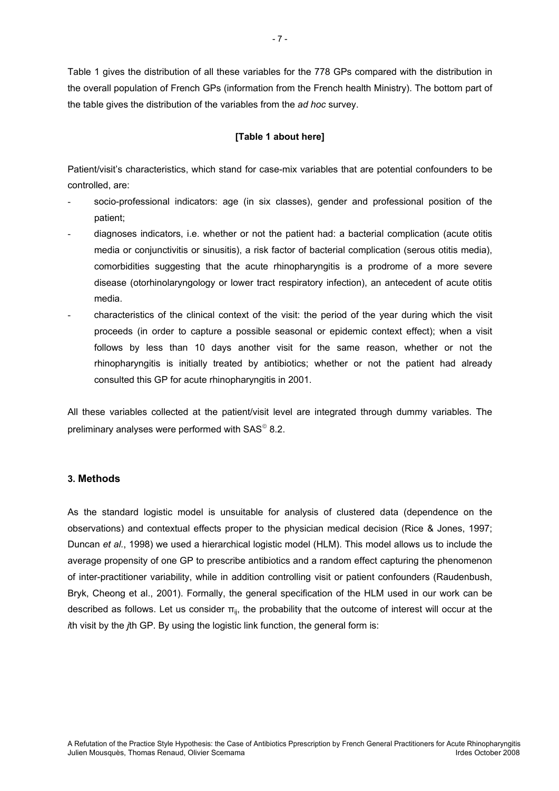Table 1 gives the distribution of all these variables for the 778 GPs compared with the distribution in the overall population of French GPs (information from the French health Ministry). The bottom part of the table gives the distribution of the variables from the *ad hoc* survey.

#### **[Table 1 about here]**

Patient/visit's characteristics, which stand for case-mix variables that are potential confounders to be controlled, are:

- socio-professional indicators: age (in six classes), gender and professional position of the patient;
- diagnoses indicators, i.e. whether or not the patient had: a bacterial complication (acute otitis media or conjunctivitis or sinusitis), a risk factor of bacterial complication (serous otitis media), comorbidities suggesting that the acute rhinopharyngitis is a prodrome of a more severe disease (otorhinolaryngology or lower tract respiratory infection), an antecedent of acute otitis media.
- characteristics of the clinical context of the visit: the period of the year during which the visit proceeds (in order to capture a possible seasonal or epidemic context effect); when a visit follows by less than 10 days another visit for the same reason, whether or not the rhinopharyngitis is initially treated by antibiotics; whether or not the patient had already consulted this GP for acute rhinopharyngitis in 2001.

All these variables collected at the patient/visit level are integrated through dummy variables. The preliminary analyses were performed with  $SAS^{\circ}$  8.2.

#### **3. Methods**

As the standard logistic model is unsuitable for analysis of clustered data (dependence on the observations) and contextual effects proper to the physician medical decision (Rice & Jones, 1997; Duncan *et al.*, 1998) we used a hierarchical logistic model (HLM). This model allows us to include the average propensity of one GP to prescribe antibiotics and a random effect capturing the phenomenon of inter-practitioner variability, while in addition controlling visit or patient confounders (Raudenbush, Bryk, Cheong et al., 2001). Formally, the general specification of the HLM used in our work can be described as follows. Let us consider  $\pi_{ii}$ , the probability that the outcome of interest will occur at the *i*th visit by the *j*th GP. By using the logistic link function, the general form is: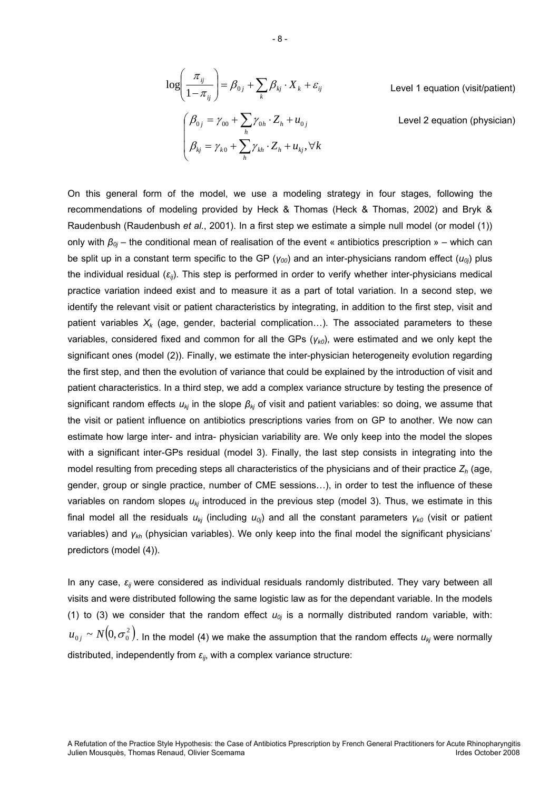$$
\log\left(\frac{\pi_{ij}}{1-\pi_{ij}}\right) = \beta_{0j} + \sum_{k} \beta_{kj} \cdot X_k + \varepsilon_{ij}
$$
\nLevel 1 equation (visit/patient)

\n
$$
\begin{pmatrix}\n\beta_{0j} = \gamma_{00} + \sum_{h} \gamma_{0h} \cdot Z_h + u_{0j} & \text{Level 2 equation (physical)} \\
\beta_{kj} = \gamma_{k0} + \sum_{h} \gamma_{kh} \cdot Z_h + u_{kj}, \forall k\n\end{pmatrix}
$$

On this general form of the model, we use a modeling strategy in four stages, following the recommendations of modeling provided by Heck & Thomas (Heck & Thomas, 2002) and Bryk & Raudenbush (Raudenbush *et al.*, 2001). In a first step we estimate a simple null model (or model (1)) only with *β0j* – the conditional mean of realisation of the event « antibiotics prescription » – which can be split up in a constant term specific to the GP (*γ00*) and an inter-physicians random effect (*u0j*) plus the individual residual (*εij*). This step is performed in order to verify whether inter-physicians medical practice variation indeed exist and to measure it as a part of total variation. In a second step, we identify the relevant visit or patient characteristics by integrating, in addition to the first step, visit and patient variables  $X_k$  (age, gender, bacterial complication...). The associated parameters to these variables, considered fixed and common for all the GPs (*γk0*), were estimated and we only kept the significant ones (model (2)). Finally, we estimate the inter-physician heterogeneity evolution regarding the first step, and then the evolution of variance that could be explained by the introduction of visit and patient characteristics. In a third step, we add a complex variance structure by testing the presence of significant random effects *ukj* in the slope *βkj* of visit and patient variables: so doing, we assume that the visit or patient influence on antibiotics prescriptions varies from on GP to another. We now can estimate how large inter- and intra- physician variability are. We only keep into the model the slopes with a significant inter-GPs residual (model 3). Finally, the last step consists in integrating into the model resulting from preceding steps all characteristics of the physicians and of their practice *Zh* (age, gender, group or single practice, number of CME sessions…), in order to test the influence of these variables on random slopes  $u_{ki}$  introduced in the previous step (model 3). Thus, we estimate in this final model all the residuals *ukj* (including *u0j*) and all the constant parameters *γk0* (visit or patient variables) and *γkh* (physician variables). We only keep into the final model the significant physicians' predictors (model (4)).

In any case, *εij* were considered as individual residuals randomly distributed. They vary between all visits and were distributed following the same logistic law as for the dependant variable. In the models (1) to (3) we consider that the random effect  $u_{0j}$  is a normally distributed random variable, with:  $u_{0j} \thicksim N(0,\sigma_0^2)$  in the model (4) we make the assumption that the random effects  $u_{kj}$  were normally distributed, independently from  $\varepsilon_{ij}$ , with a complex variance structure:

- 8 -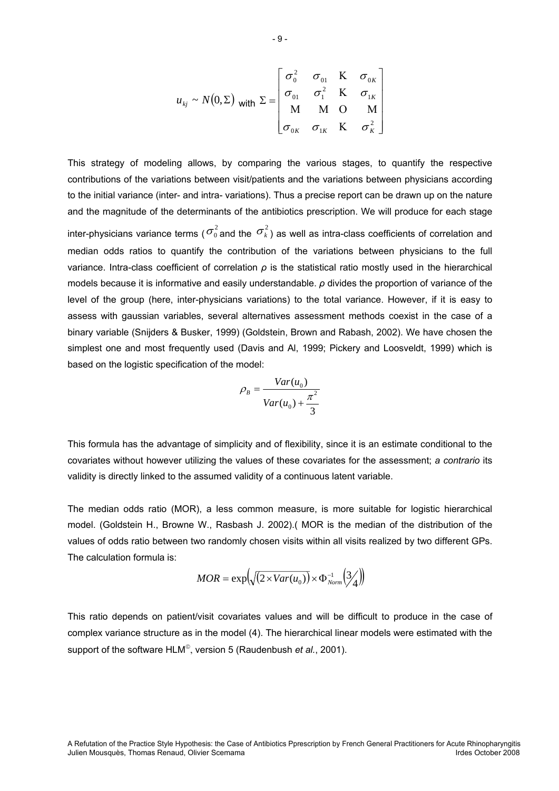$$
u_{kj} \sim N(0, \Sigma) \text{ with } \Sigma = \begin{bmatrix} \sigma_0^2 & \sigma_{01} & K & \sigma_{0K} \\ \sigma_{01} & \sigma_1^2 & K & \sigma_{1K} \\ M & M & O & M \\ \sigma_{0K} & \sigma_{1K} & K & \sigma_K^2 \end{bmatrix}
$$

This strategy of modeling allows, by comparing the various stages, to quantify the respective contributions of the variations between visit/patients and the variations between physicians according to the initial variance (inter- and intra- variations). Thus a precise report can be drawn up on the nature and the magnitude of the determinants of the antibiotics prescription. We will produce for each stage inter-physicians variance terms ( $\sigma_0^2$  and the  $\sigma_k^2$ ) as well as intra-class coefficients of correlation and median odds ratios to quantify the contribution of the variations between physicians to the full variance. Intra-class coefficient of correlation *ρ* is the statistical ratio mostly used in the hierarchical models because it is informative and easily understandable. *ρ* divides the proportion of variance of the level of the group (here, inter-physicians variations) to the total variance. However, if it is easy to assess with gaussian variables, several alternatives assessment methods coexist in the case of a binary variable (Snijders & Busker, 1999) (Goldstein, Brown and Rabash, 2002). We have chosen the simplest one and most frequently used (Davis and Al, 1999; Pickery and Loosveldt, 1999) which is based on the logistic specification of the model:

$$
\rho_B = \frac{Var(u_0)}{Var(u_0) + \frac{\pi^2}{3}}
$$

This formula has the advantage of simplicity and of flexibility, since it is an estimate conditional to the covariates without however utilizing the values of these covariates for the assessment; *a contrario* its validity is directly linked to the assumed validity of a continuous latent variable.

The median odds ratio (MOR), a less common measure, is more suitable for logistic hierarchical model. (Goldstein H., Browne W., Rasbash J. 2002).( MOR is the median of the distribution of the values of odds ratio between two randomly chosen visits within all visits realized by two different GPs. The calculation formula is:

$$
MOR = \exp\left(\sqrt{\left(2 \times Var(u_0)\right)} \times \Phi_{Norm}^{-1}\left(\frac{3}{4}\right)\right)
$$

This ratio depends on patient/visit covariates values and will be difficult to produce in the case of complex variance structure as in the model (4). The hierarchical linear models were estimated with the support of the software HLM<sup>®</sup>, version 5 (Raudenbush *et al.*, 2001).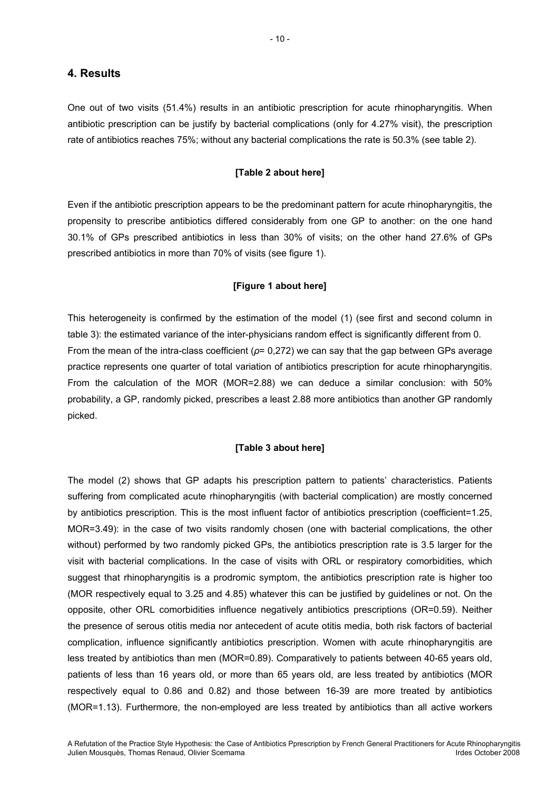#### **4. Results**

One out of two visits (51.4%) results in an antibiotic prescription for acute rhinopharyngitis. When antibiotic prescription can be justify by bacterial complications (only for 4.27% visit), the prescription rate of antibiotics reaches 75%; without any bacterial complications the rate is 50.3% (see table 2).

#### **[Table 2 about here]**

Even if the antibiotic prescription appears to be the predominant pattern for acute rhinopharyngitis, the propensity to prescribe antibiotics differed considerably from one GP to another: on the one hand 30.1% of GPs prescribed antibiotics in less than 30% of visits; on the other hand 27.6% of GPs prescribed antibiotics in more than 70% of visits (see figure 1).

#### **[Figure 1 about here]**

This heterogeneity is confirmed by the estimation of the model (1) (see first and second column in table 3): the estimated variance of the inter-physicians random effect is significantly different from 0. From the mean of the intra-class coefficient (*ρ*= 0,272) we can say that the gap between GPs average practice represents one quarter of total variation of antibiotics prescription for acute rhinopharyngitis. From the calculation of the MOR (MOR=2.88) we can deduce a similar conclusion: with 50% probability, a GP, randomly picked, prescribes a least 2.88 more antibiotics than another GP randomly picked.

#### **[Table 3 about here]**

The model (2) shows that GP adapts his prescription pattern to patients' characteristics. Patients suffering from complicated acute rhinopharyngitis (with bacterial complication) are mostly concerned by antibiotics prescription. This is the most influent factor of antibiotics prescription (coefficient=1.25, MOR=3.49): in the case of two visits randomly chosen (one with bacterial complications, the other without) performed by two randomly picked GPs, the antibiotics prescription rate is 3.5 larger for the visit with bacterial complications. In the case of visits with ORL or respiratory comorbidities, which suggest that rhinopharyngitis is a prodromic symptom, the antibiotics prescription rate is higher too (MOR respectively equal to 3.25 and 4.85) whatever this can be justified by guidelines or not. On the opposite, other ORL comorbidities influence negatively antibiotics prescriptions (OR=0.59). Neither the presence of serous otitis media nor antecedent of acute otitis media, both risk factors of bacterial complication, influence significantly antibiotics prescription. Women with acute rhinopharyngitis are less treated by antibiotics than men (MOR=0.89). Comparatively to patients between 40-65 years old, patients of less than 16 years old, or more than 65 years old, are less treated by antibiotics (MOR respectively equal to 0.86 and 0.82) and those between 16-39 are more treated by antibiotics (MOR=1.13). Furthermore, the non-employed are less treated by antibiotics than all active workers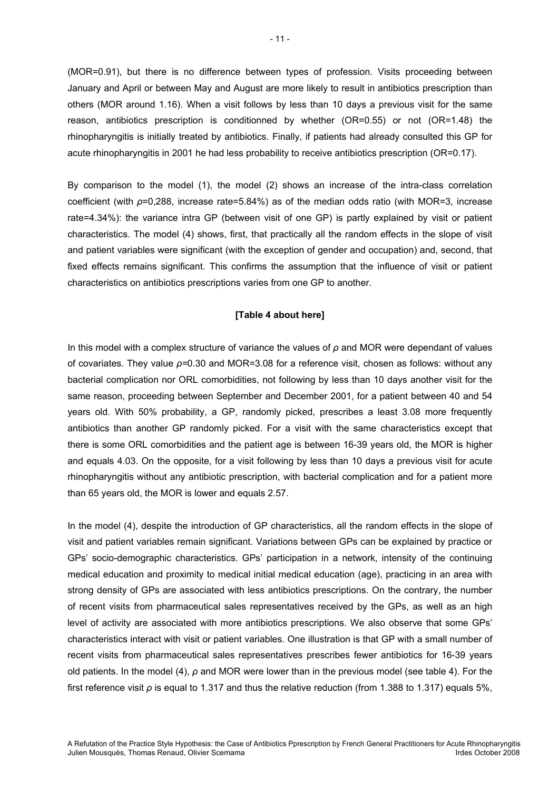(MOR=0.91), but there is no difference between types of profession. Visits proceeding between January and April or between May and August are more likely to result in antibiotics prescription than others (MOR around 1.16). When a visit follows by less than 10 days a previous visit for the same reason, antibiotics prescription is conditionned by whether (OR=0.55) or not (OR=1.48) the rhinopharyngitis is initially treated by antibiotics. Finally, if patients had already consulted this GP for acute rhinopharyngitis in 2001 he had less probability to receive antibiotics prescription (OR=0.17).

By comparison to the model (1), the model (2) shows an increase of the intra-class correlation coefficient (with *ρ*=0,288, increase rate=5.84%) as of the median odds ratio (with MOR=3, increase rate=4.34%): the variance intra GP (between visit of one GP) is partly explained by visit or patient characteristics. The model (4) shows, first, that practically all the random effects in the slope of visit and patient variables were significant (with the exception of gender and occupation) and, second, that fixed effects remains significant. This confirms the assumption that the influence of visit or patient characteristics on antibiotics prescriptions varies from one GP to another.

#### **[Table 4 about here]**

In this model with a complex structure of variance the values of *ρ* and MOR were dependant of values of covariates. They value *ρ=*0.30 and MOR=3.08 for a reference visit, chosen as follows: without any bacterial complication nor ORL comorbidities, not following by less than 10 days another visit for the same reason, proceeding between September and December 2001, for a patient between 40 and 54 years old. With 50% probability, a GP, randomly picked, prescribes a least 3.08 more frequently antibiotics than another GP randomly picked. For a visit with the same characteristics except that there is some ORL comorbidities and the patient age is between 16-39 years old, the MOR is higher and equals 4.03. On the opposite, for a visit following by less than 10 days a previous visit for acute rhinopharyngitis without any antibiotic prescription, with bacterial complication and for a patient more than 65 years old, the MOR is lower and equals 2.57.

In the model (4), despite the introduction of GP characteristics, all the random effects in the slope of visit and patient variables remain significant. Variations between GPs can be explained by practice or GPs' socio-demographic characteristics. GPs' participation in a network, intensity of the continuing medical education and proximity to medical initial medical education (age), practicing in an area with strong density of GPs are associated with less antibiotics prescriptions. On the contrary, the number of recent visits from pharmaceutical sales representatives received by the GPs, as well as an high level of activity are associated with more antibiotics prescriptions. We also observe that some GPs' characteristics interact with visit or patient variables. One illustration is that GP with a small number of recent visits from pharmaceutical sales representatives prescribes fewer antibiotics for 16-39 years old patients. In the model (4), *ρ* and MOR were lower than in the previous model (see table 4). For the first reference visit *ρ* is equal to 1.317 and thus the relative reduction (from 1.388 to 1.317) equals 5%,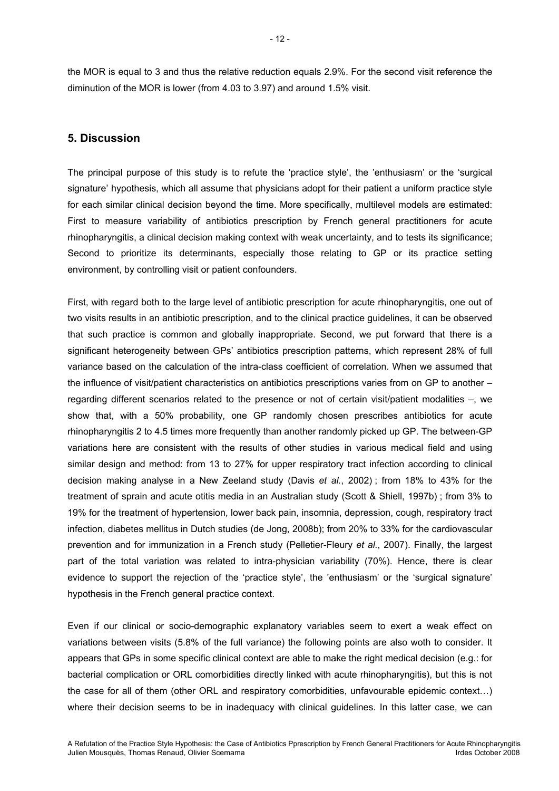the MOR is equal to 3 and thus the relative reduction equals 2.9%. For the second visit reference the diminution of the MOR is lower (from 4.03 to 3.97) and around 1.5% visit.

#### **5. Discussion**

The principal purpose of this study is to refute the 'practice style', the 'enthusiasm' or the 'surgical signature' hypothesis, which all assume that physicians adopt for their patient a uniform practice style for each similar clinical decision beyond the time. More specifically, multilevel models are estimated: First to measure variability of antibiotics prescription by French general practitioners for acute rhinopharyngitis, a clinical decision making context with weak uncertainty, and to tests its significance; Second to prioritize its determinants, especially those relating to GP or its practice setting environment, by controlling visit or patient confounders.

First, with regard both to the large level of antibiotic prescription for acute rhinopharyngitis, one out of two visits results in an antibiotic prescription, and to the clinical practice guidelines, it can be observed that such practice is common and globally inappropriate. Second, we put forward that there is a significant heterogeneity between GPs' antibiotics prescription patterns, which represent 28% of full variance based on the calculation of the intra-class coefficient of correlation. When we assumed that the influence of visit/patient characteristics on antibiotics prescriptions varies from on GP to another – regarding different scenarios related to the presence or not of certain visit/patient modalities –, we show that, with a 50% probability, one GP randomly chosen prescribes antibiotics for acute rhinopharyngitis 2 to 4.5 times more frequently than another randomly picked up GP. The between-GP variations here are consistent with the results of other studies in various medical field and using similar design and method: from 13 to 27% for upper respiratory tract infection according to clinical decision making analyse in a New Zeeland study (Davis *et al.*, 2002) ; from 18% to 43% for the treatment of sprain and acute otitis media in an Australian study (Scott & Shiell, 1997b) ; from 3% to 19% for the treatment of hypertension, lower back pain, insomnia, depression, cough, respiratory tract infection, diabetes mellitus in Dutch studies (de Jong, 2008b); from 20% to 33% for the cardiovascular prevention and for immunization in a French study (Pelletier-Fleury *et al.*, 2007). Finally, the largest part of the total variation was related to intra-physician variability (70%). Hence, there is clear evidence to support the rejection of the 'practice style', the 'enthusiasm' or the 'surgical signature' hypothesis in the French general practice context.

Even if our clinical or socio-demographic explanatory variables seem to exert a weak effect on variations between visits (5.8% of the full variance) the following points are also woth to consider. It appears that GPs in some specific clinical context are able to make the right medical decision (e.g.: for bacterial complication or ORL comorbidities directly linked with acute rhinopharyngitis), but this is not the case for all of them (other ORL and respiratory comorbidities, unfavourable epidemic context…) where their decision seems to be in inadequacy with clinical guidelines. In this latter case, we can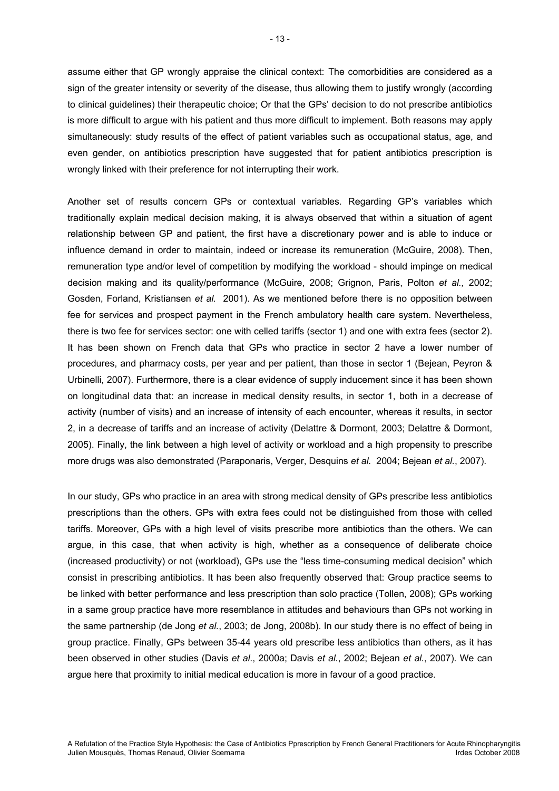assume either that GP wrongly appraise the clinical context: The comorbidities are considered as a sign of the greater intensity or severity of the disease, thus allowing them to justify wrongly (according to clinical guidelines) their therapeutic choice; Or that the GPs' decision to do not prescribe antibiotics is more difficult to argue with his patient and thus more difficult to implement. Both reasons may apply simultaneously: study results of the effect of patient variables such as occupational status, age, and even gender, on antibiotics prescription have suggested that for patient antibiotics prescription is wrongly linked with their preference for not interrupting their work.

Another set of results concern GPs or contextual variables. Regarding GP's variables which traditionally explain medical decision making, it is always observed that within a situation of agent relationship between GP and patient, the first have a discretionary power and is able to induce or influence demand in order to maintain, indeed or increase its remuneration (McGuire, 2008). Then, remuneration type and/or level of competition by modifying the workload - should impinge on medical decision making and its quality/performance (McGuire, 2008; Grignon, Paris, Polton *et al.,* 2002; Gosden, Forland, Kristiansen *et al.* 2001). As we mentioned before there is no opposition between fee for services and prospect payment in the French ambulatory health care system. Nevertheless, there is two fee for services sector: one with celled tariffs (sector 1) and one with extra fees (sector 2). It has been shown on French data that GPs who practice in sector 2 have a lower number of procedures, and pharmacy costs, per year and per patient, than those in sector 1 (Bejean, Peyron & Urbinelli, 2007). Furthermore, there is a clear evidence of supply inducement since it has been shown on longitudinal data that: an increase in medical density results, in sector 1, both in a decrease of activity (number of visits) and an increase of intensity of each encounter, whereas it results, in sector 2, in a decrease of tariffs and an increase of activity (Delattre & Dormont, 2003; Delattre & Dormont, 2005). Finally, the link between a high level of activity or workload and a high propensity to prescribe more drugs was also demonstrated (Paraponaris, Verger, Desquins *et al.* 2004; Bejean *et al.*, 2007).

In our study, GPs who practice in an area with strong medical density of GPs prescribe less antibiotics prescriptions than the others. GPs with extra fees could not be distinguished from those with celled tariffs. Moreover, GPs with a high level of visits prescribe more antibiotics than the others. We can argue, in this case, that when activity is high, whether as a consequence of deliberate choice (increased productivity) or not (workload), GPs use the "less time-consuming medical decision" which consist in prescribing antibiotics. It has been also frequently observed that: Group practice seems to be linked with better performance and less prescription than solo practice (Tollen, 2008); GPs working in a same group practice have more resemblance in attitudes and behaviours than GPs not working in the same partnership (de Jong *et al.*, 2003; de Jong, 2008b). In our study there is no effect of being in group practice. Finally, GPs between 35-44 years old prescribe less antibiotics than others, as it has been observed in other studies (Davis *et al*., 2000a; Davis *et al.*, 2002; Bejean *et al.*, 2007). We can argue here that proximity to initial medical education is more in favour of a good practice.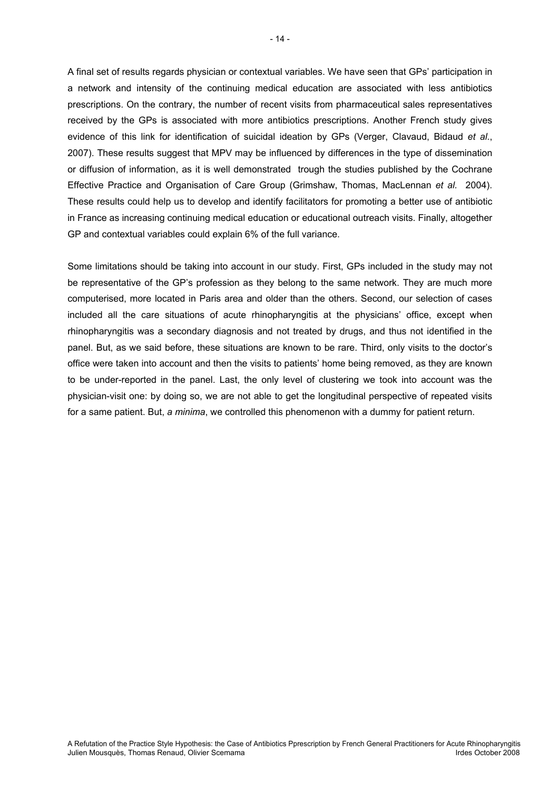A final set of results regards physician or contextual variables. We have seen that GPs' participation in a network and intensity of the continuing medical education are associated with less antibiotics prescriptions. On the contrary, the number of recent visits from pharmaceutical sales representatives received by the GPs is associated with more antibiotics prescriptions. Another French study gives evidence of this link for identification of suicidal ideation by GPs (Verger, Clavaud, Bidaud *et al.*, 2007). These results suggest that MPV may be influenced by differences in the type of dissemination or diffusion of information, as it is well demonstrated trough the studies published by the Cochrane Effective Practice and Organisation of Care Group (Grimshaw, Thomas, MacLennan *et al.* 2004). These results could help us to develop and identify facilitators for promoting a better use of antibiotic in France as increasing continuing medical education or educational outreach visits. Finally, altogether GP and contextual variables could explain 6% of the full variance.

Some limitations should be taking into account in our study. First, GPs included in the study may not be representative of the GP's profession as they belong to the same network. They are much more computerised, more located in Paris area and older than the others. Second, our selection of cases included all the care situations of acute rhinopharyngitis at the physicians' office, except when rhinopharyngitis was a secondary diagnosis and not treated by drugs, and thus not identified in the panel. But, as we said before, these situations are known to be rare. Third, only visits to the doctor's office were taken into account and then the visits to patients' home being removed, as they are known to be under-reported in the panel. Last, the only level of clustering we took into account was the physician-visit one: by doing so, we are not able to get the longitudinal perspective of repeated visits for a same patient. But, *a minima*, we controlled this phenomenon with a dummy for patient return.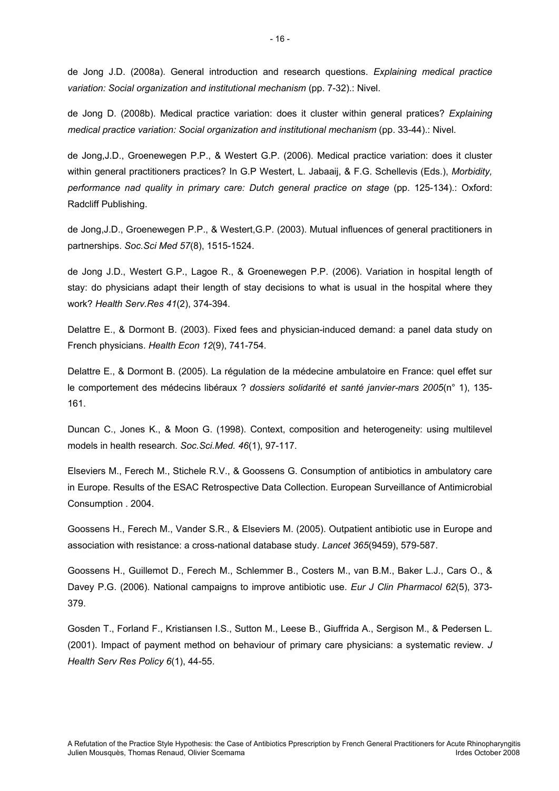de Jong J.D. (2008a). General introduction and research questions. *Explaining medical practice variation: Social organization and institutional mechanism* (pp. 7-32).: Nivel.

de Jong D. (2008b). Medical practice variation: does it cluster within general pratices? *Explaining medical practice variation: Social organization and institutional mechanism* (pp. 33-44).: Nivel.

de Jong,J.D., Groenewegen P.P., & Westert G.P. (2006). Medical practice variation: does it cluster within general practitioners practices? In G.P Westert, L. Jabaaij, & F.G. Schellevis (Eds.), *Morbidity, performance nad quality in primary care: Dutch general practice on stage* (pp. 125-134).: Oxford: Radcliff Publishing.

de Jong,J.D., Groenewegen P.P., & Westert,G.P. (2003). Mutual influences of general practitioners in partnerships. *Soc.Sci Med 57*(8), 1515-1524.

de Jong J.D., Westert G.P., Lagoe R., & Groenewegen P.P. (2006). Variation in hospital length of stay: do physicians adapt their length of stay decisions to what is usual in the hospital where they work? *Health Serv.Res 41*(2), 374-394.

Delattre E., & Dormont B. (2003). Fixed fees and physician-induced demand: a panel data study on French physicians. *Health Econ 12*(9), 741-754.

Delattre E., & Dormont B. (2005). La régulation de la médecine ambulatoire en France: quel effet sur le comportement des médecins libéraux ? *dossiers solidarité et santé janvier-mars 2005*(n° 1), 135- 161.

Duncan C., Jones K., & Moon G. (1998). Context, composition and heterogeneity: using multilevel models in health research. *Soc.Sci.Med. 46*(1), 97-117.

Elseviers M., Ferech M., Stichele R.V., & Goossens G. Consumption of antibiotics in ambulatory care in Europe. Results of the ESAC Retrospective Data Collection. European Surveillance of Antimicrobial Consumption . 2004.

Goossens H., Ferech M., Vander S.R., & Elseviers M. (2005). Outpatient antibiotic use in Europe and association with resistance: a cross-national database study. *Lancet 365*(9459), 579-587.

Goossens H., Guillemot D., Ferech M., Schlemmer B., Costers M., van B.M., Baker L.J., Cars O., & Davey P.G. (2006). National campaigns to improve antibiotic use. *Eur J Clin Pharmacol 62*(5), 373- 379.

Gosden T., Forland F., Kristiansen I.S., Sutton M., Leese B., Giuffrida A., Sergison M., & Pedersen L. (2001). Impact of payment method on behaviour of primary care physicians: a systematic review. *J Health Serv Res Policy 6*(1), 44-55.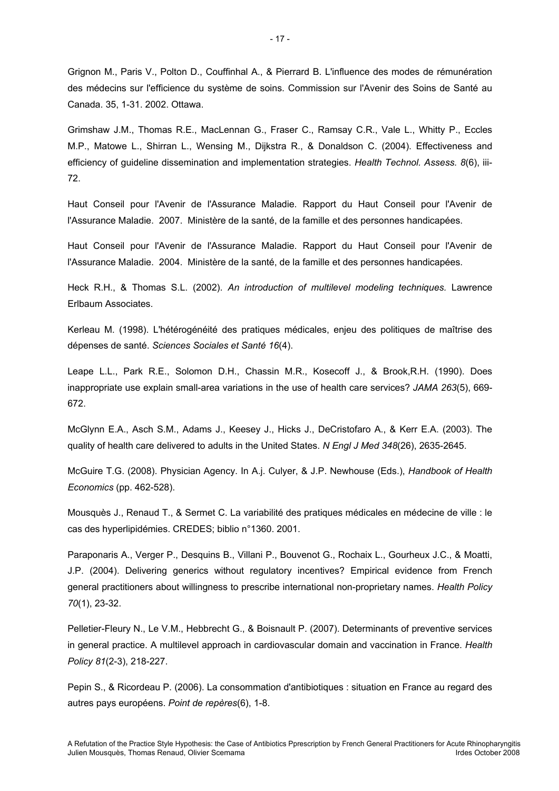Grignon M., Paris V., Polton D., Couffinhal A., & Pierrard B. L'influence des modes de rémunération des médecins sur l'efficience du système de soins. Commission sur l'Avenir des Soins de Santé au Canada. 35, 1-31. 2002. Ottawa.

Grimshaw J.M., Thomas R.E., MacLennan G., Fraser C., Ramsay C.R., Vale L., Whitty P., Eccles M.P., Matowe L., Shirran L., Wensing M., Dijkstra R., & Donaldson C. (2004). Effectiveness and efficiency of guideline dissemination and implementation strategies. *Health Technol. Assess. 8*(6), iii-72.

Haut Conseil pour l'Avenir de l'Assurance Maladie. Rapport du Haut Conseil pour l'Avenir de l'Assurance Maladie. 2007. Ministère de la santé, de la famille et des personnes handicapées.

Haut Conseil pour l'Avenir de l'Assurance Maladie. Rapport du Haut Conseil pour l'Avenir de l'Assurance Maladie. 2004. Ministère de la santé, de la famille et des personnes handicapées.

Heck R.H., & Thomas S.L. (2002). *An introduction of multilevel modeling techniques.* Lawrence Erlbaum Associates.

Kerleau M. (1998). L'hétérogénéité des pratiques médicales, enjeu des politiques de maîtrise des dépenses de santé. *Sciences Sociales et Santé 16*(4).

Leape L.L., Park R.E., Solomon D.H., Chassin M.R., Kosecoff J., & Brook,R.H. (1990). Does inappropriate use explain small-area variations in the use of health care services? *JAMA 263*(5), 669- 672.

McGlynn E.A., Asch S.M., Adams J., Keesey J., Hicks J., DeCristofaro A., & Kerr E.A. (2003). The quality of health care delivered to adults in the United States. *N Engl J Med 348*(26), 2635-2645.

McGuire T.G. (2008). Physician Agency. In A.j. Culyer, & J.P. Newhouse (Eds.), *Handbook of Health Economics* (pp. 462-528).

Mousquès J., Renaud T., & Sermet C. La variabilité des pratiques médicales en médecine de ville : le cas des hyperlipidémies. CREDES; biblio n°1360. 2001.

Paraponaris A., Verger P., Desquins B., Villani P., Bouvenot G., Rochaix L., Gourheux J.C., & Moatti, J.P. (2004). Delivering generics without regulatory incentives? Empirical evidence from French general practitioners about willingness to prescribe international non-proprietary names. *Health Policy 70*(1), 23-32.

Pelletier-Fleury N., Le V.M., Hebbrecht G., & Boisnault P. (2007). Determinants of preventive services in general practice. A multilevel approach in cardiovascular domain and vaccination in France. *Health Policy 81*(2-3), 218-227.

Pepin S., & Ricordeau P. (2006). La consommation d'antibiotiques : situation en France au regard des autres pays européens. *Point de repères*(6), 1-8.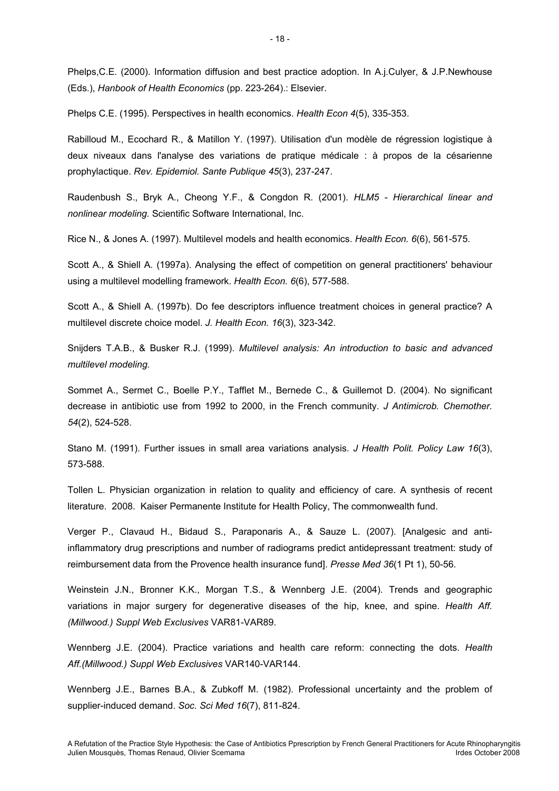Phelps,C.E. (2000). Information diffusion and best practice adoption. In A.j.Culyer, & J.P.Newhouse (Eds.), *Hanbook of Health Economics* (pp. 223-264).: Elsevier.

Phelps C.E. (1995). Perspectives in health economics. *Health Econ 4*(5), 335-353.

Rabilloud M., Ecochard R., & Matillon Y. (1997). Utilisation d'un modèle de régression logistique à deux niveaux dans l'analyse des variations de pratique médicale : à propos de la césarienne prophylactique. *Rev. Epidemiol. Sante Publique 45*(3), 237-247.

Raudenbush S., Bryk A., Cheong Y.F., & Congdon R. (2001). *HLM5 - Hierarchical linear and nonlinear modeling.* Scientific Software International, Inc.

Rice N., & Jones A. (1997). Multilevel models and health economics. *Health Econ. 6*(6), 561-575.

Scott A., & Shiell A. (1997a). Analysing the effect of competition on general practitioners' behaviour using a multilevel modelling framework. *Health Econ. 6*(6), 577-588.

Scott A., & Shiell A. (1997b). Do fee descriptors influence treatment choices in general practice? A multilevel discrete choice model. *J. Health Econ. 16*(3), 323-342.

Snijders T.A.B., & Busker R.J. (1999). *Multilevel analysis: An introduction to basic and advanced multilevel modeling.* 

Sommet A., Sermet C., Boelle P.Y., Tafflet M., Bernede C., & Guillemot D. (2004). No significant decrease in antibiotic use from 1992 to 2000, in the French community. *J Antimicrob. Chemother. 54*(2), 524-528.

Stano M. (1991). Further issues in small area variations analysis. *J Health Polit. Policy Law 16*(3), 573-588.

Tollen L. Physician organization in relation to quality and efficiency of care. A synthesis of recent literature. 2008. Kaiser Permanente Institute for Health Policy, The commonwealth fund.

Verger P., Clavaud H., Bidaud S., Paraponaris A., & Sauze L. (2007). [Analgesic and antiinflammatory drug prescriptions and number of radiograms predict antidepressant treatment: study of reimbursement data from the Provence health insurance fund]. *Presse Med 36*(1 Pt 1), 50-56.

Weinstein J.N., Bronner K.K., Morgan T.S., & Wennberg J.E. (2004). Trends and geographic variations in major surgery for degenerative diseases of the hip, knee, and spine. *Health Aff. (Millwood.) Suppl Web Exclusives* VAR81-VAR89.

Wennberg J.E. (2004). Practice variations and health care reform: connecting the dots. *Health Aff.(Millwood.) Suppl Web Exclusives* VAR140-VAR144.

Wennberg J.E., Barnes B.A., & Zubkoff M. (1982). Professional uncertainty and the problem of supplier-induced demand. *Soc. Sci Med 16*(7), 811-824.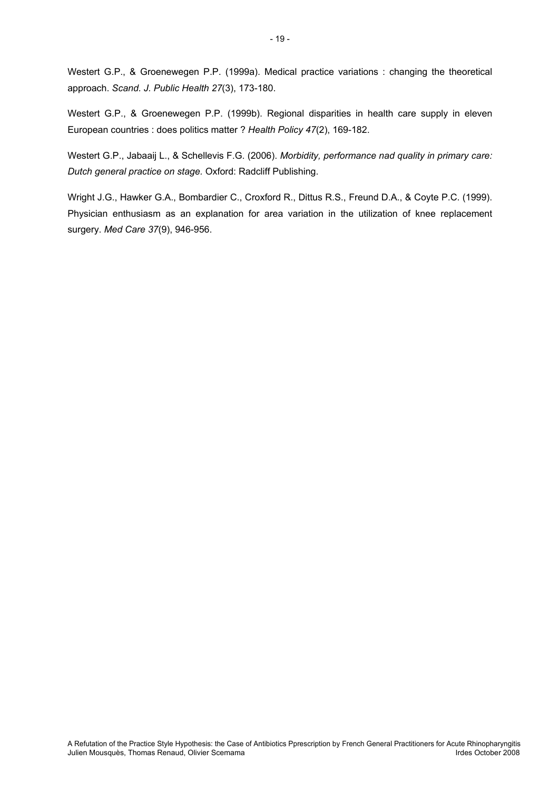Westert G.P., & Groenewegen P.P. (1999a). Medical practice variations : changing the theoretical approach. *Scand. J. Public Health 27*(3), 173-180.

Westert G.P., & Groenewegen P.P. (1999b). Regional disparities in health care supply in eleven European countries : does politics matter ? *Health Policy 47*(2), 169-182.

Westert G.P., Jabaaij L., & Schellevis F.G. (2006). *Morbidity, performance nad quality in primary care: Dutch general practice on stage.* Oxford: Radcliff Publishing.

Wright J.G., Hawker G.A., Bombardier C., Croxford R., Dittus R.S., Freund D.A., & Coyte P.C. (1999). Physician enthusiasm as an explanation for area variation in the utilization of knee replacement surgery. *Med Care 37*(9), 946-956.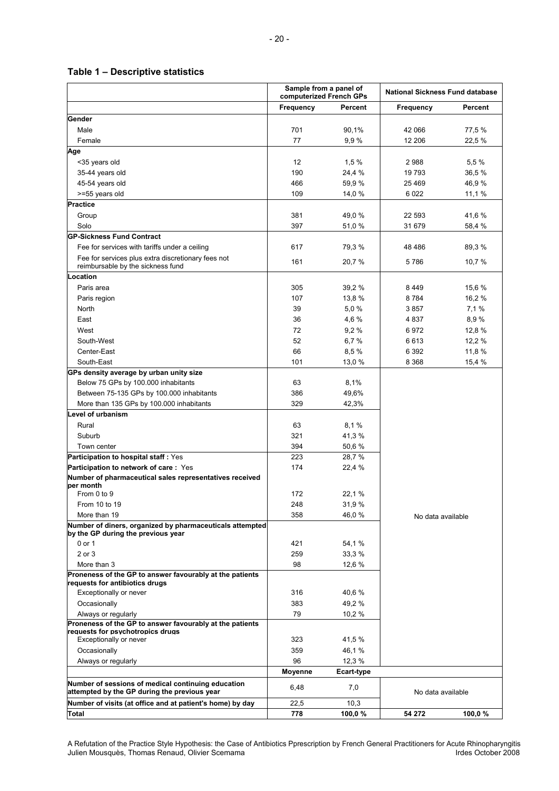#### **Table 1 – Descriptive statistics**

|                                                                                                    | Sample from a panel of<br>computerized French GPs |            | <b>National Sickness Fund database</b> |           |  |
|----------------------------------------------------------------------------------------------------|---------------------------------------------------|------------|----------------------------------------|-----------|--|
|                                                                                                    | Frequency                                         | Percent    | Frequency                              | Percent   |  |
| Gender                                                                                             |                                                   |            |                                        |           |  |
| Male                                                                                               | 701                                               | 90,1%      | 42 066                                 | 77,5 %    |  |
| Female                                                                                             | 77                                                | 9,9%       | 12 206                                 | 22,5 %    |  |
| Age                                                                                                |                                                   |            |                                        |           |  |
| <35 years old                                                                                      | 12                                                | 1,5%       | 2988                                   | 5,5%      |  |
| 35-44 years old                                                                                    | 190                                               | 24,4 %     | 19793                                  | 36,5 %    |  |
| 45-54 years old                                                                                    | 466                                               | 59,9 %     | 25 4 69                                | 46,9%     |  |
| >=55 years old                                                                                     | 109                                               | 14,0 %     | 6022                                   | 11,1 %    |  |
| <b>Practice</b>                                                                                    |                                                   |            |                                        |           |  |
| Group                                                                                              | 381                                               | 49,0%      | 22 593                                 | 41,6 %    |  |
| Solo                                                                                               | 397                                               | 51,0 %     | 31 679                                 | 58,4 %    |  |
| <b>GP-Sickness Fund Contract</b>                                                                   |                                                   |            |                                        |           |  |
|                                                                                                    |                                                   |            |                                        |           |  |
| Fee for services with tariffs under a ceiling                                                      | 617                                               | 79,3 %     | 48 4 8 6                               | 89,3%     |  |
| Fee for services plus extra discretionary fees not<br>reimbursable by the sickness fund            | 161                                               | 20,7 %     | 5786                                   | 10,7 %    |  |
| Location                                                                                           |                                                   |            |                                        |           |  |
| Paris area                                                                                         | 305                                               | 39,2 %     | 8449                                   | 15,6 %    |  |
|                                                                                                    |                                                   |            | 8784                                   |           |  |
| Paris region                                                                                       | 107                                               | 13,8 %     |                                        | 16,2%     |  |
| North                                                                                              | 39                                                | 5,0%       | 3857                                   | 7,1%      |  |
| East                                                                                               | 36                                                | 4,6 %      | 4837                                   | 8,9%      |  |
| West                                                                                               | 72                                                | 9,2%       | 6972                                   | 12,8 %    |  |
| South-West                                                                                         | 52                                                | 6,7%       | 6613                                   | 12,2 %    |  |
| Center-East                                                                                        | 66                                                | 8,5 %      | 6 3 9 2                                | 11,8 %    |  |
| South-East                                                                                         | 101                                               | 13,0 %     | 8 3 6 8                                | 15,4 %    |  |
| GPs density average by urban unity size                                                            |                                                   |            |                                        |           |  |
| Below 75 GPs by 100.000 inhabitants                                                                | 63                                                | 8,1%       |                                        |           |  |
| Between 75-135 GPs by 100.000 inhabitants                                                          | 386                                               | 49,6%      |                                        |           |  |
| More than 135 GPs by 100.000 inhabitants                                                           | 329                                               | 42,3%      |                                        |           |  |
| Level of urbanism                                                                                  |                                                   |            |                                        |           |  |
| Rural                                                                                              | 63                                                | 8,1%       |                                        |           |  |
| Suburb                                                                                             | 321                                               | 41,3%      |                                        |           |  |
| Town center                                                                                        | 394                                               | 50,6 %     |                                        |           |  |
| Participation to hospital staff: Yes                                                               | 223                                               | 28,7 %     |                                        |           |  |
| Participation to network of care: Yes                                                              | 174                                               | 22,4 %     |                                        |           |  |
| Number of pharmaceutical sales representatives received                                            |                                                   |            |                                        |           |  |
| ber month                                                                                          |                                                   |            |                                        |           |  |
| From 0 to 9                                                                                        | 172                                               | 22,1 %     |                                        |           |  |
| From 10 to 19                                                                                      | 248                                               | 31,9%      |                                        |           |  |
| More than 19                                                                                       | 358                                               | 46,0%      | No data available                      |           |  |
| Number of diners, organized by pharmaceuticals attempted                                           |                                                   |            |                                        |           |  |
| by the GP during the previous year                                                                 |                                                   |            |                                        |           |  |
| 0 or 1                                                                                             | 421                                               | 54,1 %     |                                        |           |  |
| 2 or 3                                                                                             | 259                                               | 33,3 %     |                                        |           |  |
| More than 3                                                                                        | 98                                                | 12,6 %     |                                        |           |  |
| Proneness of the GP to answer favourably at the patients<br>requests for antibiotics drugs         |                                                   |            |                                        |           |  |
| Exceptionally or never                                                                             | 316                                               | 40,6 %     |                                        |           |  |
| Occasionally                                                                                       | 383                                               | 49,2%      |                                        |           |  |
| Always or regularly                                                                                | 79                                                | 10,2%      |                                        |           |  |
| Proneness of the GP to answer favourably at the patients                                           |                                                   |            |                                        |           |  |
| reauests for psychotropics druas                                                                   |                                                   |            |                                        |           |  |
| Exceptionally or never                                                                             | 323                                               | 41,5 %     |                                        |           |  |
| Occasionally                                                                                       | 359                                               | 46,1 %     |                                        |           |  |
| Always or regularly                                                                                | 96                                                | 12,3 %     |                                        |           |  |
|                                                                                                    | <b>Moyenne</b>                                    | Ecart-type |                                        |           |  |
| Number of sessions of medical continuing education<br>attempted by the GP during the previous year | 6,48                                              | 7,0        | No data available                      |           |  |
| Number of visits (at office and at patient's home) by day                                          | 22,5                                              | 10,3       |                                        |           |  |
| Total                                                                                              | 778                                               | 100,0%     | 54 272                                 | 100,0 $%$ |  |

A Refutation of the Practice Style Hypothesis: the Case of Antibiotics Pprescription by French General Practitioners for Acute Rhinopharyngitis Julien Mousquès, Thomas Renaud, Olivier Scemama **International Index Controller and Controller** Irdes October 2008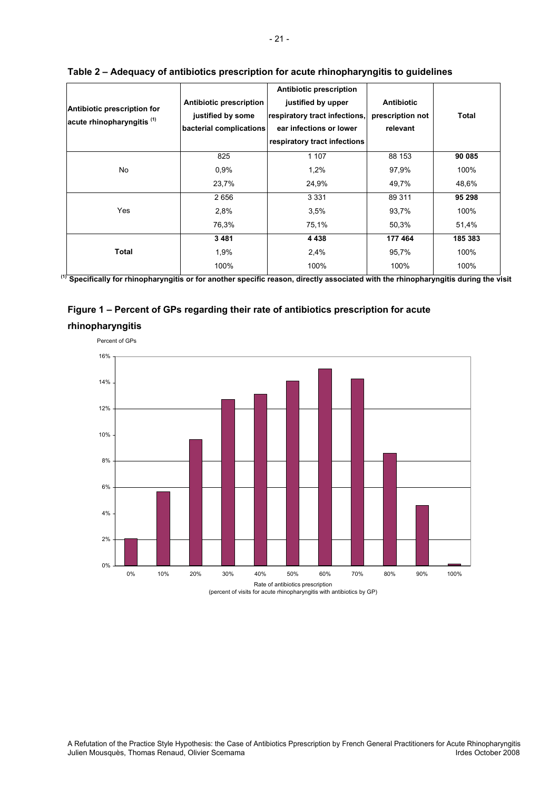| Antibiotic prescription for<br>acute rhinopharyngitis <sup>(1)</sup> | Antibiotic prescription<br>justified by some<br>bacterial complications | <b>Antibiotic prescription</b><br>justified by upper<br>respiratory tract infections,<br>ear infections or lower<br>respiratory tract infections | <b>Antibiotic</b><br>prescription not<br>relevant | <b>Total</b> |
|----------------------------------------------------------------------|-------------------------------------------------------------------------|--------------------------------------------------------------------------------------------------------------------------------------------------|---------------------------------------------------|--------------|
|                                                                      | 825                                                                     | 1 1 0 7                                                                                                                                          | 88 153                                            | 90 085       |
| No                                                                   | 0.9%                                                                    | 1,2%                                                                                                                                             | 97,9%                                             | 100%         |
|                                                                      | 23,7%                                                                   | 24,9%                                                                                                                                            | 49,7%                                             | 48,6%        |
|                                                                      | 2656                                                                    | 3 3 3 1                                                                                                                                          | 89 311                                            | 95 298       |
| Yes                                                                  | 2,8%                                                                    | 3.5%                                                                                                                                             | 93,7%                                             | 100%         |
|                                                                      | 76,3%                                                                   | 75,1%                                                                                                                                            | 50,3%                                             | 51,4%        |
|                                                                      | 3481                                                                    | 4 4 3 8                                                                                                                                          | 177 464                                           | 185 383      |
| Total                                                                | 1,9%                                                                    | 2,4%                                                                                                                                             | 95,7%                                             | 100%         |
|                                                                      | 100%                                                                    | 100%                                                                                                                                             | 100%                                              | 100%         |

#### **Table 2 – Adequacy of antibiotics prescription for acute rhinopharyngitis to guidelines**

**(1) Specifically for rhinopharyngitis or for another specific reason, directly associated with the rhinopharyngitis during the visit**





Rate of antibiotics prescription (percent of visits for acute rhinopharyngitis with antibiotics by GP)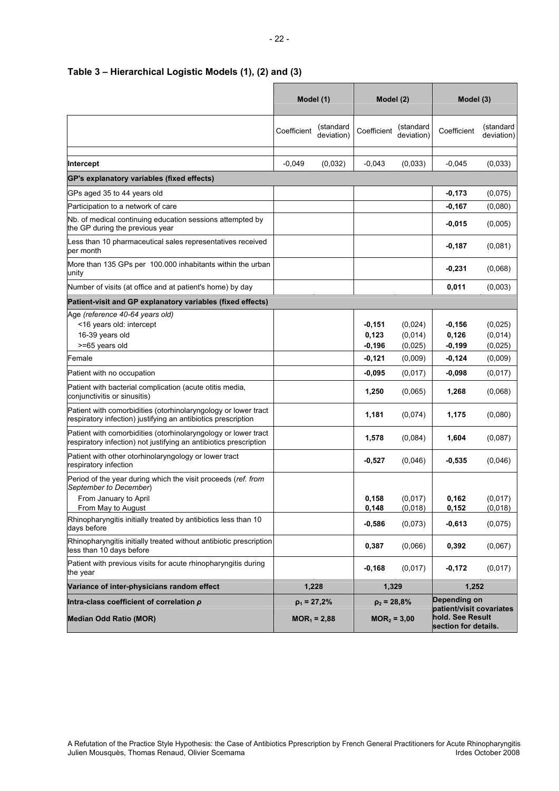|                                                                                                                                     | Model (1)   |                         | Model (2)                                                                             |                               | Model (3)                     |                               |
|-------------------------------------------------------------------------------------------------------------------------------------|-------------|-------------------------|---------------------------------------------------------------------------------------|-------------------------------|-------------------------------|-------------------------------|
|                                                                                                                                     | Coefficient | (standard<br>deviation) | Coefficient                                                                           | (standard<br>deviation)       | Coefficient                   | (standard<br>deviation)       |
| Intercept                                                                                                                           | $-0,049$    | (0,032)                 | $-0,043$                                                                              | (0,033)                       | $-0,045$                      | (0,033)                       |
| GP's explanatory variables (fixed effects)                                                                                          |             |                         |                                                                                       |                               |                               |                               |
| GPs aged 35 to 44 years old                                                                                                         |             |                         |                                                                                       |                               | $-0,173$                      | (0,075)                       |
| Participation to a network of care                                                                                                  |             |                         |                                                                                       |                               | $-0,167$                      | (0,080)                       |
| Nb. of medical continuing education sessions attempted by<br>the GP during the previous year                                        |             |                         |                                                                                       |                               | $-0,015$                      | (0,005)                       |
| Less than 10 pharmaceutical sales representatives received<br>per month                                                             |             |                         |                                                                                       |                               | $-0,187$                      | (0,081)                       |
| More than 135 GPs per 100.000 inhabitants within the urban<br>unity                                                                 |             |                         |                                                                                       |                               | $-0,231$                      | (0,068)                       |
| Number of visits (at office and at patient's home) by day                                                                           |             |                         |                                                                                       |                               | 0,011                         | (0,003)                       |
| Patient-visit and GP explanatory variables (fixed effects)                                                                          |             |                         |                                                                                       |                               |                               |                               |
| Age (reference 40-64 years old)<br><16 years old: intercept<br>16-39 years old<br>>=65 years old                                    |             |                         | $-0,151$<br>0,123<br>$-0,196$                                                         | (0,024)<br>(0,014)<br>(0,025) | $-0,156$<br>0,126<br>$-0,199$ | (0,025)<br>(0,014)<br>(0,025) |
| Female                                                                                                                              |             |                         | $-0,121$                                                                              | (0,009)                       | $-0,124$                      | (0,009)                       |
| Patient with no occupation                                                                                                          |             |                         | -0,095                                                                                | (0,017)                       | $-0,098$                      | (0,017)                       |
| Patient with bacterial complication (acute otitis media,<br>conjunctivitis or sinusitis)                                            |             |                         | 1,250                                                                                 | (0,065)                       | 1,268                         | (0,068)                       |
| Patient with comorbidities (otorhinolaryngology or lower tract<br>respiratory infection) justifying an antibiotics prescription     |             |                         | 1,181                                                                                 | (0,074)                       | 1,175                         | (0,080)                       |
| Patient with comorbidities (otorhinolaryngology or lower tract<br>respiratory infection) not justifying an antibiotics prescription |             |                         | 1,578                                                                                 | (0,084)                       | 1,604                         | (0,087)                       |
| Patient with other otorhinolaryngology or lower tract<br>respiratory infection                                                      |             |                         | $-0,527$                                                                              | (0,046)                       | $-0,535$                      | (0,046)                       |
| Period of the year during which the visit proceeds (ref. from<br>September to December)                                             |             |                         |                                                                                       |                               |                               |                               |
| From January to April<br>From May to August                                                                                         |             |                         | 0,158<br>0,148                                                                        | (0,017)<br>(0,018)            | 0,162<br>0,152                | (0,017)<br>(0,018)            |
| Rhinopharyngitis initially treated by antibiotics less than 10<br>days before                                                       |             |                         | $-0,586$                                                                              | (0,073)                       | $-0,613$                      | (0,075)                       |
| Rhinopharyngitis initially treated without antibiotic prescription<br>less than 10 days before                                      |             |                         | 0,387                                                                                 | (0,066)                       | 0,392                         | (0,067)                       |
| Patient with previous visits for acute rhinopharyngitis during<br>the year                                                          |             |                         | $-0,168$                                                                              | (0,017)                       | $-0,172$                      | (0,017)                       |
| Variance of inter-physicians random effect                                                                                          |             | 1,228                   | 1,329                                                                                 |                               | 1,252                         |                               |
| Intra-class coefficient of correlation $\rho$                                                                                       |             | $\rho_1$ = 27,2%        | $\rho_2 = 28.8\%$                                                                     |                               | Depending on                  |                               |
| <b>Median Odd Ratio (MOR)</b>                                                                                                       |             | $MOR_1 = 2,88$          | patient/visit covariates<br>hold. See Result<br>$MOR2 = 3,00$<br>section for details. |                               |                               |                               |

#### **Table 3 – Hierarchical Logistic Models (1), (2) and (3)**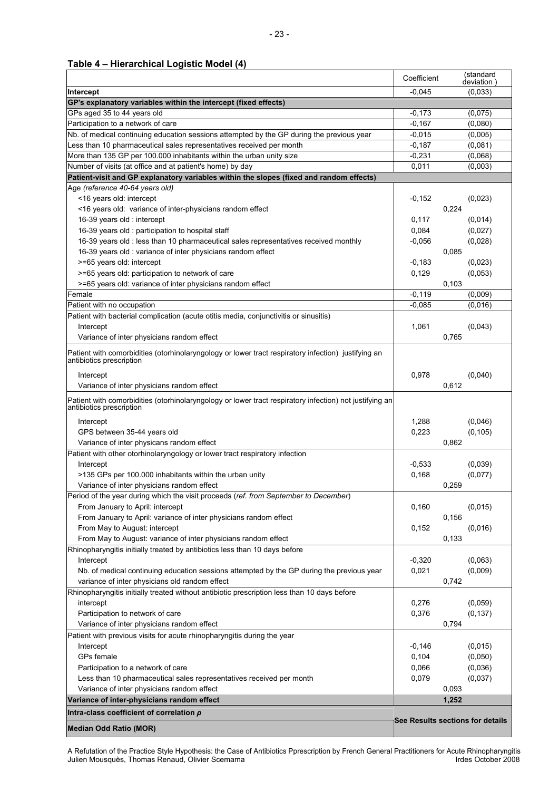#### **Table 4 – Hierarchical Logistic Model (4)**

|                                                                                                                                     | Coefficient | (standard<br>deviation           |
|-------------------------------------------------------------------------------------------------------------------------------------|-------------|----------------------------------|
| Intercept                                                                                                                           | $-0.045$    | (0,033)                          |
| GP's explanatory variables within the intercept (fixed effects)                                                                     |             |                                  |
| GPs aged 35 to 44 years old                                                                                                         | $-0,173$    | (0,075)                          |
| Participation to a network of care                                                                                                  | $-0,167$    | (0,080)                          |
| Nb. of medical continuing education sessions attempted by the GP during the previous year                                           | $-0.015$    | (0,005)                          |
| Less than 10 pharmaceutical sales representatives received per month                                                                | $-0,187$    | (0,081)                          |
| More than 135 GP per 100.000 inhabitants within the urban unity size                                                                | $-0,231$    | (0,068)                          |
| Number of visits (at office and at patient's home) by day                                                                           | 0,011       | (0,003)                          |
| Patient-visit and GP explanatory variables within the slopes (fixed and random effects)                                             |             |                                  |
| Age (reference 40-64 years old)                                                                                                     |             |                                  |
| <16 years old: intercept                                                                                                            | $-0,152$    | (0,023)                          |
| <16 years old: variance of inter-physicians random effect                                                                           |             | 0,224                            |
| 16-39 years old : intercept                                                                                                         | 0,117       | (0,014)                          |
| 16-39 years old : participation to hospital staff                                                                                   | 0,084       | (0,027)                          |
| 16-39 years old : less than 10 pharmaceutical sales representatives received monthly                                                | $-0,056$    | (0,028)                          |
| 16-39 years old : variance of inter physicians random effect                                                                        |             | 0,085                            |
| >=65 years old: intercept                                                                                                           | $-0,183$    | (0,023)                          |
| >=65 years old: participation to network of care                                                                                    | 0,129       | (0,053)                          |
| >=65 years old: variance of inter physicians random effect                                                                          |             | 0,103                            |
| Female                                                                                                                              | $-0,119$    | (0,009)                          |
| Patient with no occupation                                                                                                          | $-0.085$    | (0,016)                          |
| Patient with bacterial complication (acute otitis media, conjunctivitis or sinusitis)                                               |             |                                  |
| Intercept                                                                                                                           | 1,061       | (0,043)                          |
| Variance of inter physicians random effect                                                                                          |             | 0,765                            |
| Patient with comorbidities (otorhinolaryngology or lower tract respiratory infection) justifying an<br>antibiotics prescription     |             |                                  |
| Intercept                                                                                                                           | 0,978       | (0,040)                          |
| Variance of inter physicians random effect                                                                                          |             | 0,612                            |
|                                                                                                                                     |             |                                  |
| Patient with comorbidities (otorhinolaryngology or lower tract respiratory infection) not justifying an<br>antibiotics prescription |             |                                  |
| Intercept                                                                                                                           | 1,288       | (0,046)                          |
| GPS between 35-44 years old                                                                                                         | 0,223       | (0, 105)                         |
| Variance of inter physicans random effect                                                                                           |             | 0.862                            |
| Patient with other otorhinolaryngology or lower tract respiratory infection                                                         |             |                                  |
| Intercept                                                                                                                           | $-0,533$    | (0,039)                          |
| >135 GPs per 100.000 inhabitants within the urban unity                                                                             | 0,168       | (0,077)                          |
| Variance of inter physicians random effect                                                                                          |             | 0,259                            |
| Period of the year during which the visit proceeds (ref. from September to December)                                                |             |                                  |
| From January to April: intercept                                                                                                    | 0,160       | (0,015)                          |
| From January to April: variance of inter physicians random effect                                                                   |             | 0,156                            |
| From May to August: intercept                                                                                                       | 0,152       | (0,016)                          |
| From May to August: variance of inter physicians random effect                                                                      |             | 0,133                            |
| Rhinopharyngitis initially treated by antibiotics less than 10 days before                                                          |             |                                  |
| Intercept                                                                                                                           | $-0,320$    | (0,063)                          |
| Nb. of medical continuing education sessions attempted by the GP during the previous year                                           | 0,021       | (0,009)                          |
| variance of inter physicians old random effect                                                                                      |             | 0,742                            |
| Rhinopharyngitis initially treated without antibiotic prescription less than 10 days before                                         |             |                                  |
| intercept                                                                                                                           | 0,276       | (0,059)                          |
| Participation to network of care                                                                                                    | 0,376       | (0, 137)                         |
| Variance of inter physicians random effect                                                                                          |             | 0,794                            |
| Patient with previous visits for acute rhinopharyngitis during the year                                                             |             |                                  |
| Intercept                                                                                                                           | $-0,146$    | (0,015)                          |
| GPs female                                                                                                                          | 0,104       | (0,050)                          |
| Participation to a network of care                                                                                                  | 0,066       | (0,036)                          |
| Less than 10 pharmaceutical sales representatives received per month                                                                | 0,079       | (0,037)                          |
| Variance of inter physicians random effect                                                                                          |             | 0,093                            |
| Variance of inter-physicians random effect                                                                                          |             | 1,252                            |
| Intra-class coefficient of correlation $\rho$                                                                                       |             |                                  |
| <b>Median Odd Ratio (MOR)</b>                                                                                                       |             | See Results sections for details |

A Refutation of the Practice Style Hypothesis: the Case of Antibiotics Pprescription by French General Practitioners for Acute Rhinopharyngitis Julien Mousquès, Thomas Renaud, Olivier Scemama **International International Irdes October 2008**